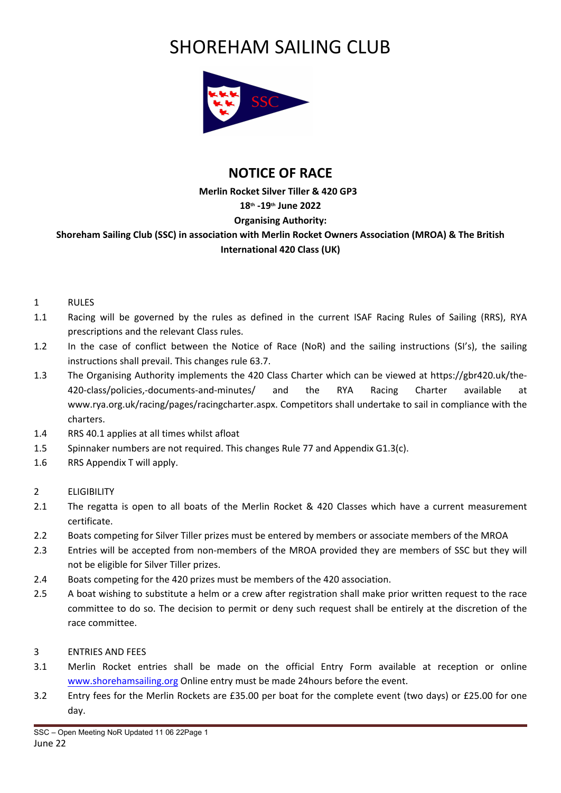# SHOREHAM SAILING CLUB



# **NOTICE OF RACE**

# **Merlin Rocket Silver Tiller & 420 GP3 18th -19th June 2022 Organising Authority: Shoreham Sailing Club (SSC) in association with Merlin Rocket Owners Association (MROA) & The British International 420 Class (UK)**

- 1 RULES
- 1.1 Racing will be governed by the rules as defined in the current ISAF Racing Rules of Sailing (RRS), RYA prescriptions and the relevant Class rules.
- 1.2 In the case of conflict between the Notice of Race (NoR) and the sailing instructions (SI's), the sailing instructions shall prevail. This changes rule 63.7.
- 1.3 The Organising Authority implements the 420 Class Charter which can be viewed at https://gbr420.uk/the-420-class/policies,-documents-and-minutes/ and the RYA Racing Charter available at www.rya.org.uk/racing/pages/racingcharter.aspx. Competitors shall undertake to sail in compliance with the charters.
- 1.4 RRS 40.1 applies at all times whilst afloat
- 1.5 Spinnaker numbers are not required. This changes Rule 77 and Appendix G1.3(c).
- 1.6 RRS Appendix T will apply.
- 2 ELIGIBILITY
- 2.1 The regatta is open to all boats of the Merlin Rocket & 420 Classes which have a current measurement certificate.
- 2.2 Boats competing for Silver Tiller prizes must be entered by members or associate members of the MROA
- 2.3 Entries will be accepted from non-members of the MROA provided they are members of SSC but they will not be eligible for Silver Tiller prizes.
- 2.4 Boats competing for the 420 prizes must be members of the 420 association.
- 2.5 A boat wishing to substitute a helm or a crew after registration shall make prior written request to the race committee to do so. The decision to permit or deny such request shall be entirely at the discretion of the race committee.
- 3 ENTRIES AND FEES
- 3.1 Merlin Rocket entries shall be made on the official Entry Form available at reception or online www.shorehamsailing.org Online entry must be made 24hours before the event.
- 3.2 Entry fees for the Merlin Rockets are £35.00 per boat for the complete event (two days) or £25.00 for one day.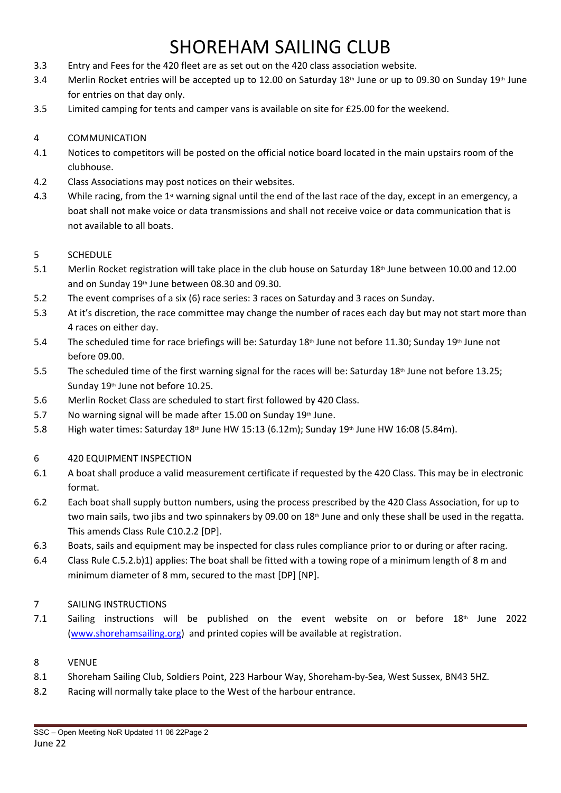# SHOREHAM SAILING CLUB

- 3.3 Entry and Fees for the 420 fleet are as set out on the 420 class association website.
- 3.4 Merlin Rocket entries will be accepted up to 12.00 on Saturday 18<sup>th</sup> June or up to 09.30 on Sunday 19<sup>th</sup> June for entries on that day only.
- 3.5 Limited camping for tents and camper vans is available on site for £25.00 for the weekend.

# 4 COMMUNICATION

- 4.1 Notices to competitors will be posted on the official notice board located in the main upstairs room of the clubhouse.
- 4.2 Class Associations may post notices on their websites.
- 4.3 While racing, from the 1<sup>st</sup> warning signal until the end of the last race of the day, except in an emergency, a boat shall not make voice or data transmissions and shall not receive voice or data communication that is not available to all boats.

### 5 SCHEDULE

- 5.1 Merlin Rocket registration will take place in the club house on Saturday 18<sup>th</sup> June between 10.00 and 12.00 and on Sunday 19<sup>th</sup> June between 08.30 and 09.30.
- 5.2 The event comprises of a six (6) race series: 3 races on Saturday and 3 races on Sunday.
- 5.3 At it's discretion, the race committee may change the number of races each day but may not start more than 4 races on either day.
- 5.4 The scheduled time for race briefings will be: Saturday 18<sup>th</sup> June not before 11.30; Sunday 19<sup>th</sup> June not before 09.00.
- 5.5 The scheduled time of the first warning signal for the races will be: Saturday 18<sup>th</sup> June not before 13.25; Sunday 19<sup>th</sup> June not before 10.25.
- 5.6 Merlin Rocket Class are scheduled to start first followed by 420 Class.
- 5.7 No warning signal will be made after 15.00 on Sunday  $19<sup>th</sup>$  June.
- 5.8 High water times: Saturday 18<sup>th</sup> June HW 15:13 (6.12m); Sunday 19<sup>th</sup> June HW 16:08 (5.84m).

### 6 420 EQUIPMENT INSPECTION

- 6.1 A boat shall produce a valid measurement certificate if requested by the 420 Class. This may be in electronic format.
- 6.2 Each boat shall supply button numbers, using the process prescribed by the 420 Class Association, for up to two main sails, two jibs and two spinnakers by 09.00 on 18<sup>th</sup> June and only these shall be used in the regatta. This amends Class Rule C10.2.2 [DP].
- 6.3 Boats, sails and equipment may be inspected for class rules compliance prior to or during or after racing.
- 6.4 Class Rule C.5.2.b)1) applies: The boat shall be fitted with a towing rope of a minimum length of 8 m and minimum diameter of 8 mm, secured to the mast [DP] [NP].
- 7 SAILING INSTRUCTIONS
- 7.1 Sailing instructions will be published on the event website on or before  $18<sup>th</sup>$  June 2022 (www.shorehamsailing.org) and printed copies will be available at registration.

### 8 VENUE

- 8.1 Shoreham Sailing Club, Soldiers Point, 223 Harbour Way, Shoreham-by-Sea, West Sussex, BN43 5HZ.
- 8.2 Racing will normally take place to the West of the harbour entrance.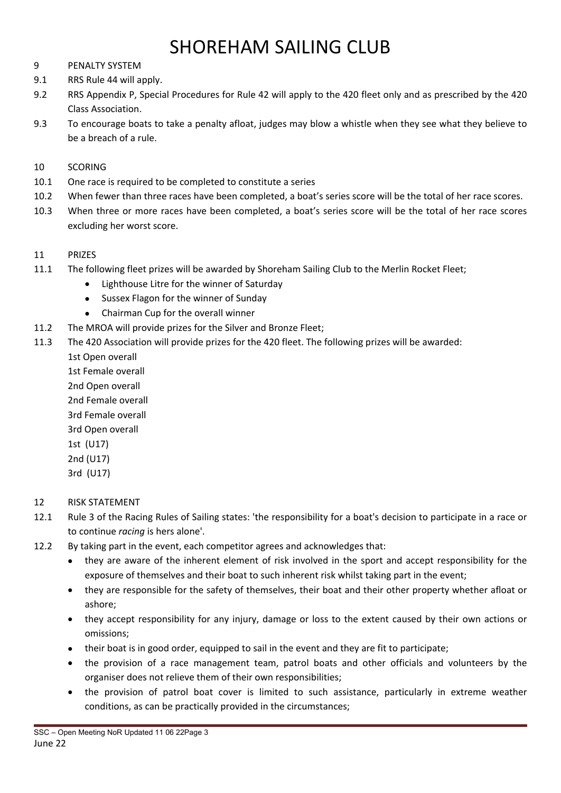# SHORFHAM SAILING CLUB

- 9 PENALTY SYSTEM
- 9.1 RRS Rule 44 will apply.
- 9.2 RRS Appendix P, Special Procedures for Rule 42 will apply to the 420 fleet only and as prescribed by the 420 Class Association.
- 9.3 To encourage boats to take a penalty afloat, judges may blow a whistle when they see what they believe to be a breach of a rule.

### 10 SCORING

- 10.1 One race is required to be completed to constitute a series
- 10.2 When fewer than three races have been completed, a boat's series score will be the total of her race scores.
- 10.3 When three or more races have been completed, a boat's series score will be the total of her race scores excluding her worst score.
- 11 PRIZES
- 11.1 The following fleet prizes will be awarded by Shoreham Sailing Club to the Merlin Rocket Fleet;
	- Lighthouse Litre for the winner of Saturday
	- Sussex Flagon for the winner of Sunday
	- Chairman Cup for the overall winner
- 11.2 The MROA will provide prizes for the Silver and Bronze Fleet;
- 11.3 The 420 Association will provide prizes for the 420 fleet. The following prizes will be awarded:
	- 1st Open overall

1st Female overall

2nd Open overall 2nd Female overall 3rd Female overall 3rd Open overall 1st (U17) 2nd (U17) 3rd (U17)

### 12 RISK STATEMENT

- 12.1 Rule 3 of the Racing Rules of Sailing states: 'the responsibility for a boat's decision to participate in a race or to continue *racing* is hers alone'.
- 12.2 By taking part in the event, each competitor agrees and acknowledges that:
	- they are aware of the inherent element of risk involved in the sport and accept responsibility for the exposure of themselves and their boat to such inherent risk whilst taking part in the event;
	- they are responsible for the safety of themselves, their boat and their other property whether afloat or ashore;
	- they accept responsibility for any injury, damage or loss to the extent caused by their own actions or omissions;
	- their boat is in good order, equipped to sail in the event and they are fit to participate;
	- the provision of a race management team, patrol boats and other officials and volunteers by the organiser does not relieve them of their own responsibilities;
	- the provision of patrol boat cover is limited to such assistance, particularly in extreme weather conditions, as can be practically provided in the circumstances;